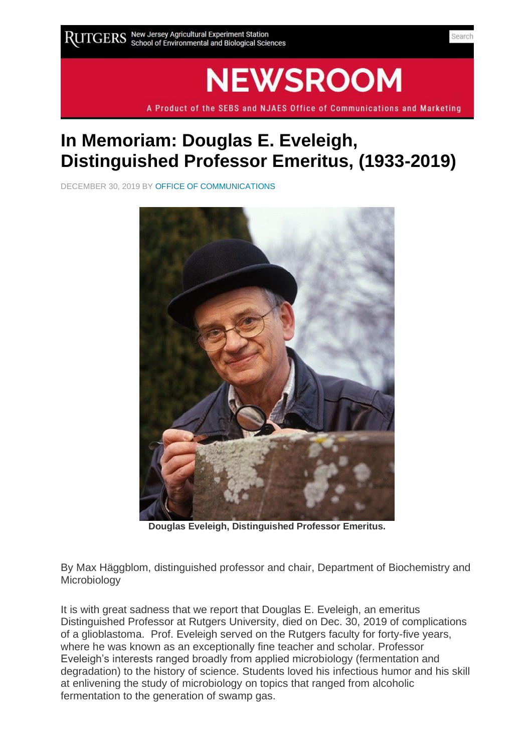## **NEWSROOM**

A Product of the SEBS and NJAES Office of Communications and Marketing

## **In Memoriam: Douglas E. Eveleigh, Distinguished Professor Emeritus, (1933-2019)**

DECEMBER 30, 2019 B[Y OFFICE OF COMMUNICATIONS](https://sebsnjaesnews.rutgers.edu/author/office-of-communications-4/)



**Douglas Eveleigh, Distinguished Professor Emeritus.**

By Max Häggblom, distinguished professor and chair, Department of Biochemistry and Microbiology

It is with great sadness that we report that Douglas E. Eveleigh, an emeritus Distinguished Professor at Rutgers University, died on Dec. 30, 2019 of complications of a glioblastoma. Prof. Eveleigh served on the Rutgers faculty for forty-five years, where he was known as an exceptionally fine teacher and scholar. Professor Eveleigh's interests ranged broadly from applied microbiology (fermentation and degradation) to the history of science. Students loved his infectious humor and his skill at enlivening the study of microbiology on topics that ranged from alcoholic fermentation to the generation of swamp gas.

Search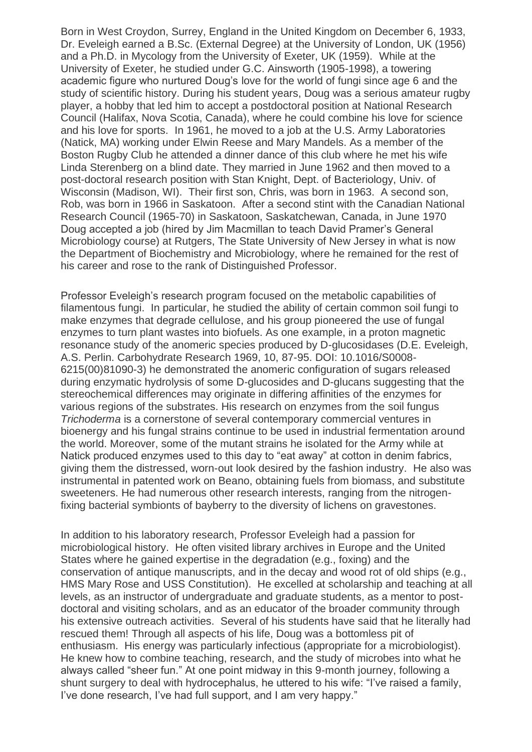Born in West Croydon, Surrey, England in the United Kingdom on December 6, 1933, Dr. Eveleigh earned a B.Sc. (External Degree) at the University of London, UK (1956) and a Ph.D. in Mycology from the University of Exeter, UK (1959). While at the University of Exeter, he studied under G.C. Ainsworth (1905-1998), a towering academic figure who nurtured Doug's love for the world of fungi since age 6 and the study of scientific history. During his student years, Doug was a serious amateur rugby player, a hobby that led him to accept a postdoctoral position at National Research Council (Halifax, Nova Scotia, Canada), where he could combine his love for science and his love for sports. In 1961, he moved to a job at the U.S. Army Laboratories (Natick, MA) working under Elwin Reese and Mary Mandels. As a member of the Boston Rugby Club he attended a dinner dance of this club where he met his wife Linda Sterenberg on a blind date. They married in June 1962 and then moved to a post-doctoral research position with Stan Knight, Dept. of Bacteriology, Univ. of Wisconsin (Madison, WI). Their first son, Chris, was born in 1963. A second son, Rob, was born in 1966 in Saskatoon. After a second stint with the Canadian National Research Council (1965-70) in Saskatoon, Saskatchewan, Canada, in June 1970 Doug accepted a job (hired by Jim Macmillan to teach David Pramer's General Microbiology course) at Rutgers, The State University of New Jersey in what is now the Department of Biochemistry and Microbiology, where he remained for the rest of his career and rose to the rank of Distinguished Professor.

Professor Eveleigh's research program focused on the metabolic capabilities of filamentous fungi. In particular, he studied the ability of certain common soil fungi to make enzymes that degrade cellulose, and his group pioneered the use of fungal enzymes to turn plant wastes into biofuels. As one example, in a proton magnetic resonance study of the anomeric species produced by D-glucosidases (D.E. Eveleigh, A.S. Perlin. Carbohydrate Research 1969, 10, 87-95. DOI: 10.1016/S0008- 6215(00)81090-3) he demonstrated the anomeric configuration of sugars released during enzymatic hydrolysis of some D-glucosides and D-glucans suggesting that the stereochemical differences may originate in differing affinities of the enzymes for various regions of the substrates. His research on enzymes from the soil fungus *Trichoderma* is a cornerstone of several contemporary commercial ventures in bioenergy and his fungal strains continue to be used in industrial fermentation around the world. Moreover, some of the mutant strains he isolated for the Army while at Natick produced enzymes used to this day to "eat away" at cotton in denim fabrics, giving them the distressed, worn-out look desired by the fashion industry. He also was instrumental in patented work on Beano, obtaining fuels from biomass, and substitute sweeteners. He had numerous other research interests, ranging from the nitrogenfixing bacterial symbionts of bayberry to the diversity of lichens on gravestones.

In addition to his laboratory research, Professor Eveleigh had a passion for microbiological history. He often visited library archives in Europe and the United States where he gained expertise in the degradation (e.g., foxing) and the conservation of antique manuscripts, and in the decay and wood rot of old ships (e.g., HMS Mary Rose and USS Constitution). He excelled at scholarship and teaching at all levels, as an instructor of undergraduate and graduate students, as a mentor to postdoctoral and visiting scholars, and as an educator of the broader community through his extensive outreach activities. Several of his students have said that he literally had rescued them! Through all aspects of his life, Doug was a bottomless pit of enthusiasm. His energy was particularly infectious (appropriate for a microbiologist). He knew how to combine teaching, research, and the study of microbes into what he always called "sheer fun." At one point midway in this 9-month journey, following a shunt surgery to deal with hydrocephalus, he uttered to his wife: "I've raised a family, I've done research, I've had full support, and I am very happy."